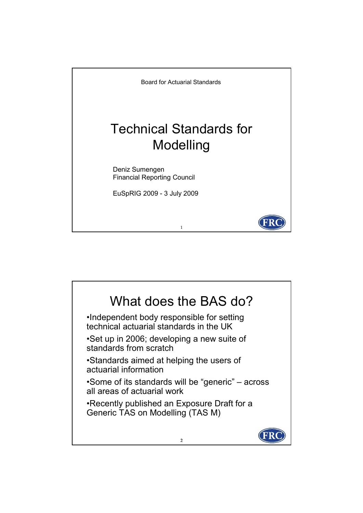

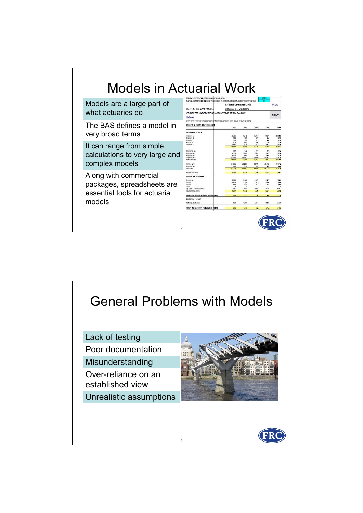

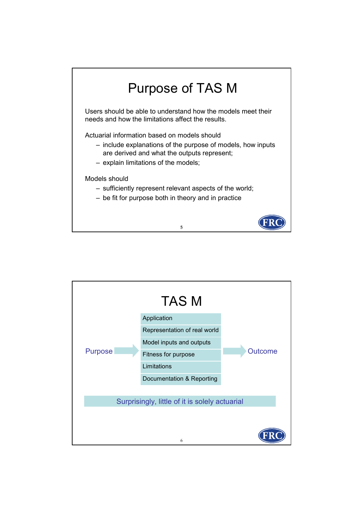